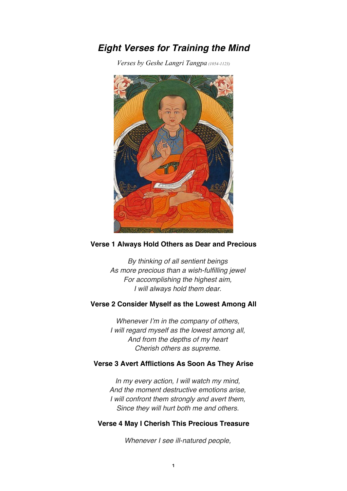# *Eight Verses for Training the Mind*

*Verses by Geshe Langri Tangpa (1054-1123)*



#### **Verse 1 Always Hold Others as Dear and Precious**

*By thinking of all sentient beings As more precious than a wish-fulfilling jewel For accomplishing the highest aim, I will always hold them dear.*

## **Verse 2 Consider Myself as the Lowest Among All**

*Whenever I'm in the company of others, I will regard myself as the lowest among all, And from the depths of my heart Cherish others as supreme.*

### **Verse 3 Avert Afflictions As Soon As They Arise**

*In my every action, I will watch my mind, And the moment destructive emotions arise, I will confront them strongly and avert them, Since they will hurt both me and others.*

### **Verse 4 May I Cherish This Precious Treasure**

*Whenever I see ill-natured people,*